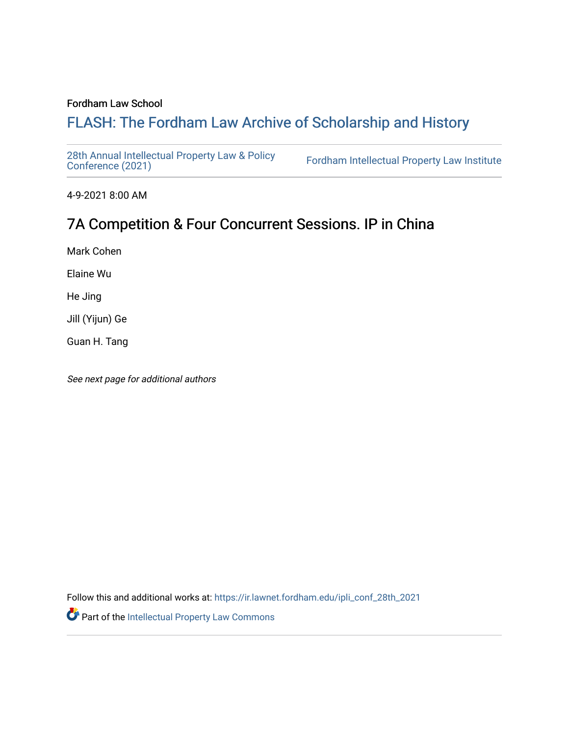#### Fordham Law School

# FLASH: The For[dham Law Archive of Scholarship and Hist](https://ir.lawnet.fordham.edu/)ory

[28th Annual Intellectual Property Law & Policy](https://ir.lawnet.fordham.edu/ipli_conf_28th_2021)<br>Conference (2021)

Fordham Intellectual Property Law Institute

4-9-2021 8:00 AM

# 7A Competition & Four Concurrent Sessions. IP in China

Mark Cohen

Elaine Wu

He Jing

Jill (Yijun) Ge

Guan H. Tang

See next page for additional authors

Follow this and additional works at: [https://ir.lawnet.fordham.edu/ipli\\_conf\\_28th\\_2021](https://ir.lawnet.fordham.edu/ipli_conf_28th_2021?utm_source=ir.lawnet.fordham.edu%2Fipli_conf_28th_2021%2F21&utm_medium=PDF&utm_campaign=PDFCoverPages) 

Part of the [Intellectual Property Law Commons](http://network.bepress.com/hgg/discipline/896?utm_source=ir.lawnet.fordham.edu%2Fipli_conf_28th_2021%2F21&utm_medium=PDF&utm_campaign=PDFCoverPages)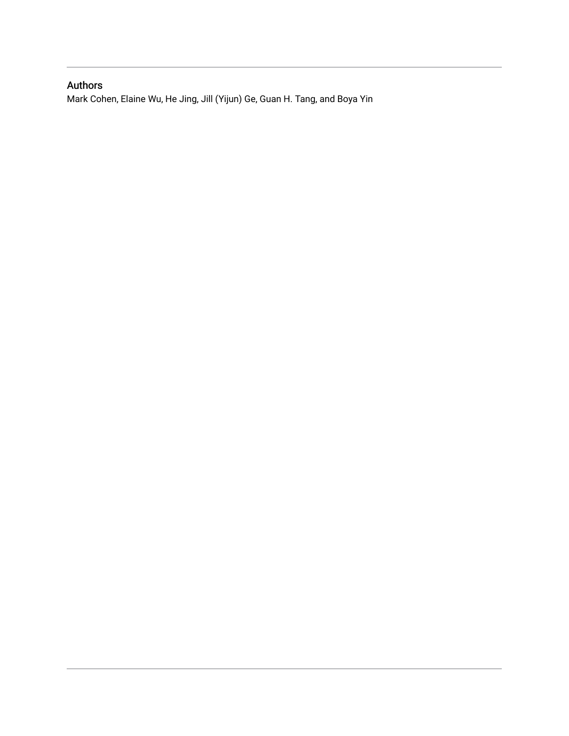## Authors

Mark Cohen, Elaine Wu, He Jing, Jill (Yijun) Ge, Guan H. Tang, and Boya Yin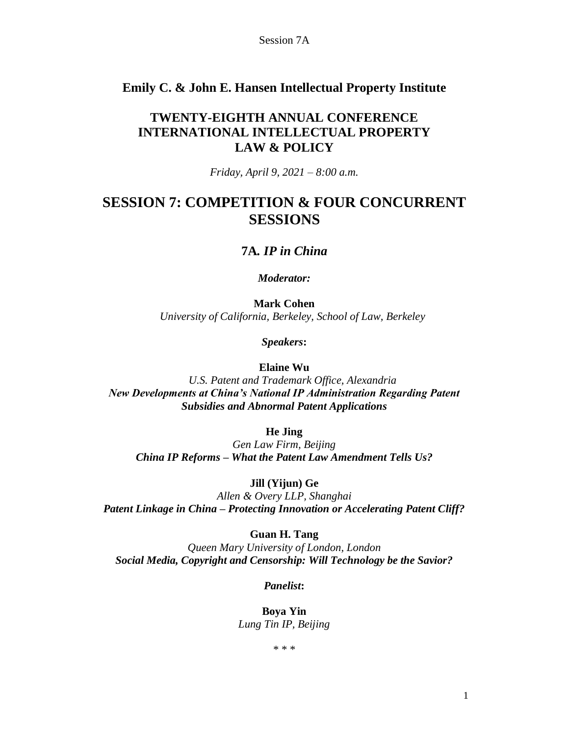## **Emily C. & John E. Hansen Intellectual Property Institute**

## **TWENTY-EIGHTH ANNUAL CONFERENCE INTERNATIONAL INTELLECTUAL PROPERTY LAW & POLICY**

*Friday, April 9, 2021 – 8:00 a.m.*

## **SESSION 7: COMPETITION & FOUR CONCURRENT SESSIONS**

### **7A***. IP in China*

*Moderator:*

**Mark Cohen** *University of California, Berkeley, School of Law, Berkeley*

*Speakers***:**

**Elaine Wu**

*U.S. Patent and Trademark Office, Alexandria New Developments at China's National IP Administration Regarding Patent Subsidies and Abnormal Patent Applications*

**He Jing**

*Gen Law Firm, Beijing China IP Reforms – What the Patent Law Amendment Tells Us?*

**Jill (Yijun) Ge**

*Allen & Overy LLP, Shanghai Patent Linkage in China – Protecting Innovation or Accelerating Patent Cliff?*

**Guan H. Tang**

*Queen Mary University of London, London Social Media, Copyright and Censorship: Will Technology be the Savior?*

*Panelist***:**

**Boya Yin** *Lung Tin IP, Beijing*

\* \* \*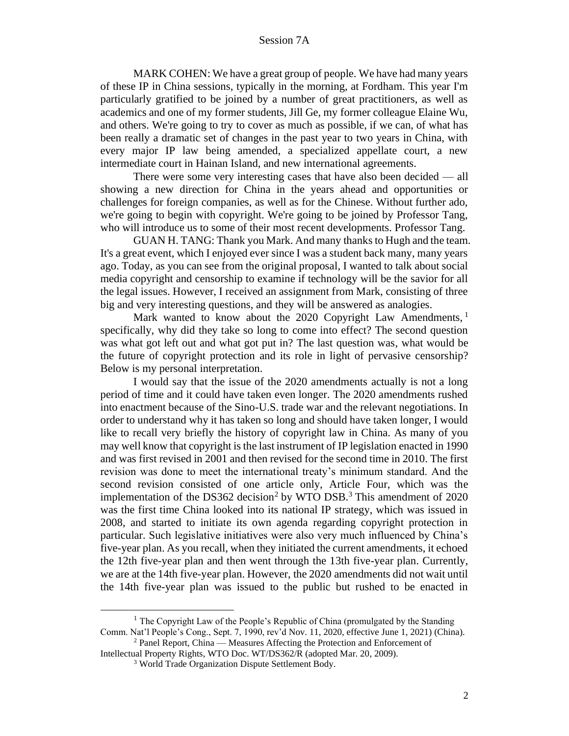MARK COHEN: We have a great group of people. We have had many years of these IP in China sessions, typically in the morning, at Fordham. This year I'm particularly gratified to be joined by a number of great practitioners, as well as academics and one of my former students, Jill Ge, my former colleague Elaine Wu, and others. We're going to try to cover as much as possible, if we can, of what has been really a dramatic set of changes in the past year to two years in China, with every major IP law being amended, a specialized appellate court, a new intermediate court in Hainan Island, and new international agreements.

There were some very interesting cases that have also been decided — all showing a new direction for China in the years ahead and opportunities or challenges for foreign companies, as well as for the Chinese. Without further ado, we're going to begin with copyright. We're going to be joined by Professor Tang, who will introduce us to some of their most recent developments. Professor Tang.

GUAN H. TANG: Thank you Mark. And many thanks to Hugh and the team. It's a great event, which I enjoyed ever since I was a student back many, many years ago. Today, as you can see from the original proposal, I wanted to talk about social media copyright and censorship to examine if technology will be the savior for all the legal issues. However, I received an assignment from Mark, consisting of three big and very interesting questions, and they will be answered as analogies.

Mark wanted to know about the 2020 Copyright Law Amendments, <sup>1</sup> specifically, why did they take so long to come into effect? The second question was what got left out and what got put in? The last question was, what would be the future of copyright protection and its role in light of pervasive censorship? Below is my personal interpretation.

I would say that the issue of the 2020 amendments actually is not a long period of time and it could have taken even longer. The 2020 amendments rushed into enactment because of the Sino-U.S. trade war and the relevant negotiations. In order to understand why it has taken so long and should have taken longer, I would like to recall very briefly the history of copyright law in China. As many of you may well know that copyright is the last instrument of IP legislation enacted in 1990 and was first revised in 2001 and then revised for the second time in 2010. The first revision was done to meet the international treaty's minimum standard. And the second revision consisted of one article only, Article Four, which was the implementation of the DS362 decision<sup>2</sup> by WTO DSB.<sup>3</sup> This amendment of  $2020$ was the first time China looked into its national IP strategy, which was issued in 2008, and started to initiate its own agenda regarding copyright protection in particular. Such legislative initiatives were also very much influenced by China's five-year plan. As you recall, when they initiated the current amendments, it echoed the 12th five-year plan and then went through the 13th five-year plan. Currently, we are at the 14th five-year plan. However, the 2020 amendments did not wait until the 14th five-year plan was issued to the public but rushed to be enacted in

<sup>&</sup>lt;sup>1</sup> The Copyright Law of the People's Republic of China (promulgated by the Standing Comm. Nat'l People's Cong., Sept. 7, 1990, rev'd Nov. 11, 2020, effective June 1, 2021) (China).

<sup>&</sup>lt;sup>2</sup> Panel Report, China — Measures Affecting the Protection and Enforcement of Intellectual Property Rights, WTO Doc. WT/DS362/R (adopted Mar. 20, 2009).

<sup>3</sup> World Trade Organization Dispute Settlement Body.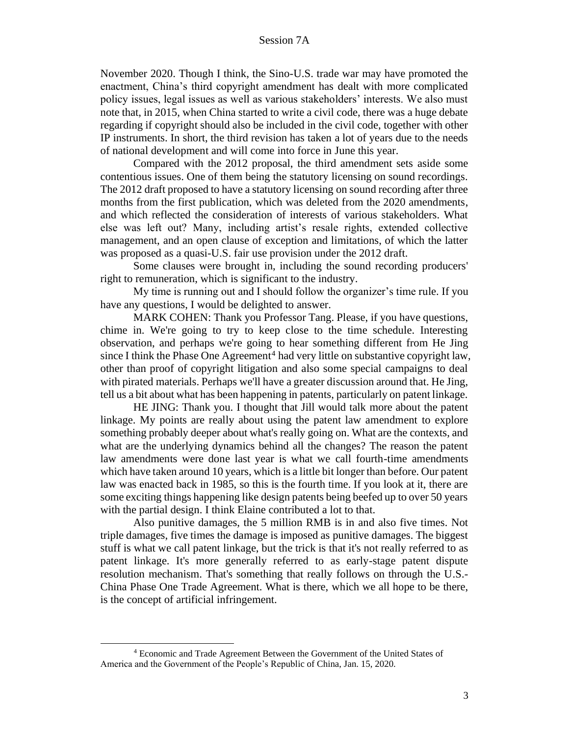November 2020. Though I think, the Sino-U.S. trade war may have promoted the enactment, China's third copyright amendment has dealt with more complicated policy issues, legal issues as well as various stakeholders' interests. We also must note that, in 2015, when China started to write a civil code, there was a huge debate regarding if copyright should also be included in the civil code, together with other IP instruments. In short, the third revision has taken a lot of years due to the needs of national development and will come into force in June this year.

Compared with the 2012 proposal, the third amendment sets aside some contentious issues. One of them being the statutory licensing on sound recordings. The 2012 draft proposed to have a statutory licensing on sound recording after three months from the first publication, which was deleted from the 2020 amendments, and which reflected the consideration of interests of various stakeholders. What else was left out? Many, including artist's resale rights, extended collective management, and an open clause of exception and limitations, of which the latter was proposed as a quasi-U.S. fair use provision under the 2012 draft.

Some clauses were brought in, including the sound recording producers' right to remuneration, which is significant to the industry.

My time is running out and I should follow the organizer's time rule. If you have any questions, I would be delighted to answer.

MARK COHEN: Thank you Professor Tang. Please, if you have questions, chime in. We're going to try to keep close to the time schedule. Interesting observation, and perhaps we're going to hear something different from He Jing since I think the Phase One Agreement<sup>4</sup> had very little on substantive copyright law, other than proof of copyright litigation and also some special campaigns to deal with pirated materials. Perhaps we'll have a greater discussion around that. He Jing, tell us a bit about what has been happening in patents, particularly on patent linkage.

HE JING: Thank you. I thought that Jill would talk more about the patent linkage. My points are really about using the patent law amendment to explore something probably deeper about what's really going on. What are the contexts, and what are the underlying dynamics behind all the changes? The reason the patent law amendments were done last year is what we call fourth-time amendments which have taken around 10 years, which is a little bit longer than before. Our patent law was enacted back in 1985, so this is the fourth time. If you look at it, there are some exciting things happening like design patents being beefed up to over 50 years with the partial design. I think Elaine contributed a lot to that.

Also punitive damages, the 5 million RMB is in and also five times. Not triple damages, five times the damage is imposed as punitive damages. The biggest stuff is what we call patent linkage, but the trick is that it's not really referred to as patent linkage. It's more generally referred to as early-stage patent dispute resolution mechanism. That's something that really follows on through the U.S.- China Phase One Trade Agreement. What is there, which we all hope to be there, is the concept of artificial infringement.

<sup>4</sup> Economic and Trade Agreement Between the Government of the United States of America and the Government of the People's Republic of China, Jan. 15, 2020.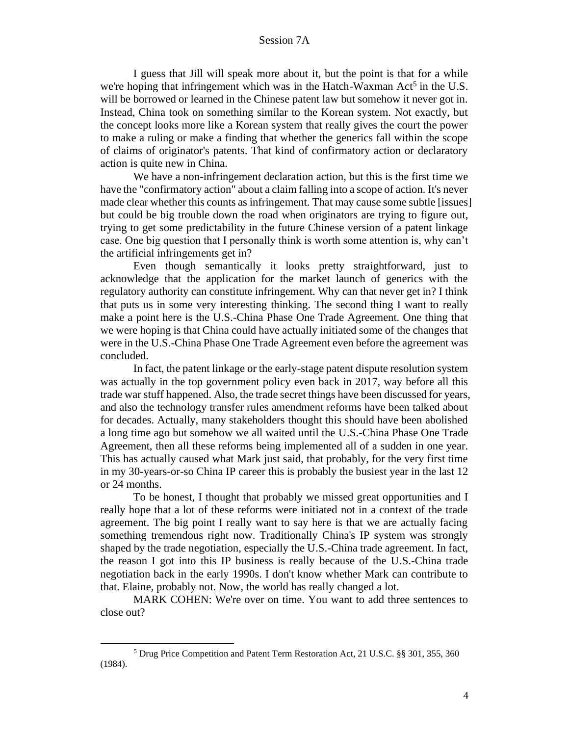I guess that Jill will speak more about it, but the point is that for a while we're hoping that infringement which was in the Hatch-Waxman  $Act<sup>5</sup>$  in the U.S. will be borrowed or learned in the Chinese patent law but somehow it never got in. Instead, China took on something similar to the Korean system. Not exactly, but the concept looks more like a Korean system that really gives the court the power to make a ruling or make a finding that whether the generics fall within the scope of claims of originator's patents. That kind of confirmatory action or declaratory action is quite new in China.

We have a non-infringement declaration action, but this is the first time we have the "confirmatory action" about a claim falling into a scope of action. It's never made clear whether this counts as infringement. That may cause some subtle [issues] but could be big trouble down the road when originators are trying to figure out, trying to get some predictability in the future Chinese version of a patent linkage case. One big question that I personally think is worth some attention is, why can't the artificial infringements get in?

Even though semantically it looks pretty straightforward, just to acknowledge that the application for the market launch of generics with the regulatory authority can constitute infringement. Why can that never get in? I think that puts us in some very interesting thinking. The second thing I want to really make a point here is the U.S.-China Phase One Trade Agreement. One thing that we were hoping is that China could have actually initiated some of the changes that were in the U.S.-China Phase One Trade Agreement even before the agreement was concluded.

In fact, the patent linkage or the early-stage patent dispute resolution system was actually in the top government policy even back in 2017, way before all this trade war stuff happened. Also, the trade secret things have been discussed for years, and also the technology transfer rules amendment reforms have been talked about for decades. Actually, many stakeholders thought this should have been abolished a long time ago but somehow we all waited until the U.S.-China Phase One Trade Agreement, then all these reforms being implemented all of a sudden in one year. This has actually caused what Mark just said, that probably, for the very first time in my 30-years-or-so China IP career this is probably the busiest year in the last 12 or 24 months.

To be honest, I thought that probably we missed great opportunities and I really hope that a lot of these reforms were initiated not in a context of the trade agreement. The big point I really want to say here is that we are actually facing something tremendous right now. Traditionally China's IP system was strongly shaped by the trade negotiation, especially the U.S.-China trade agreement. In fact, the reason I got into this IP business is really because of the U.S.-China trade negotiation back in the early 1990s. I don't know whether Mark can contribute to that. Elaine, probably not. Now, the world has really changed a lot.

MARK COHEN: We're over on time. You want to add three sentences to close out?

<sup>5</sup> Drug Price Competition and Patent Term Restoration Act, 21 U.S.C. §§ 301, 355, 360 (1984).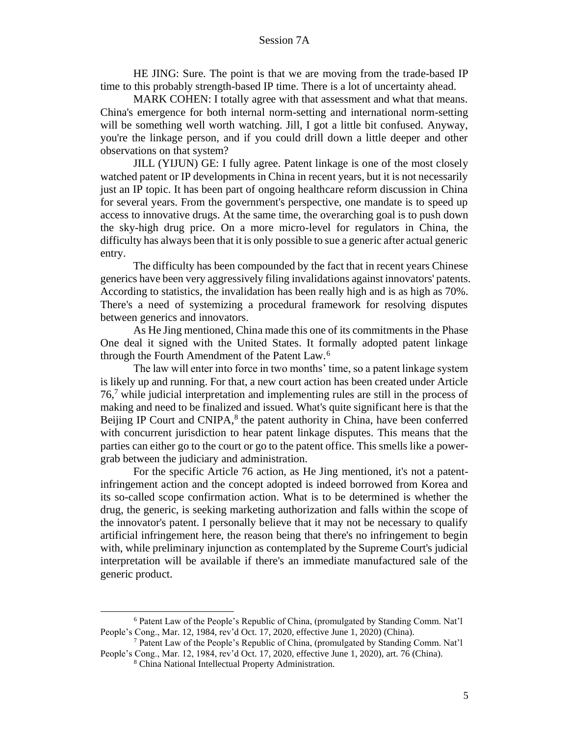HE JING: Sure. The point is that we are moving from the trade-based IP time to this probably strength-based IP time. There is a lot of uncertainty ahead.

MARK COHEN: I totally agree with that assessment and what that means. China's emergence for both internal norm-setting and international norm-setting will be something well worth watching. Jill, I got a little bit confused. Anyway, you're the linkage person, and if you could drill down a little deeper and other observations on that system?

JILL (YIJUN) GE: I fully agree. Patent linkage is one of the most closely watched patent or IP developments in China in recent years, but it is not necessarily just an IP topic. It has been part of ongoing healthcare reform discussion in China for several years. From the government's perspective, one mandate is to speed up access to innovative drugs. At the same time, the overarching goal is to push down the sky-high drug price. On a more micro-level for regulators in China, the difficulty has always been that it is only possible to sue a generic after actual generic entry.

The difficulty has been compounded by the fact that in recent years Chinese generics have been very aggressively filing invalidations against innovators' patents. According to statistics, the invalidation has been really high and is as high as 70%. There's a need of systemizing a procedural framework for resolving disputes between generics and innovators.

As He Jing mentioned, China made this one of its commitments in the Phase One deal it signed with the United States. It formally adopted patent linkage through the Fourth Amendment of the Patent Law.<sup>6</sup>

The law will enter into force in two months' time, so a patent linkage system is likely up and running. For that, a new court action has been created under Article 76,<sup>7</sup> while judicial interpretation and implementing rules are still in the process of making and need to be finalized and issued. What's quite significant here is that the Beijing IP Court and CNIPA,<sup>8</sup> the patent authority in China, have been conferred with concurrent jurisdiction to hear patent linkage disputes. This means that the parties can either go to the court or go to the patent office. This smells like a powergrab between the judiciary and administration.

For the specific Article 76 action, as He Jing mentioned, it's not a patentinfringement action and the concept adopted is indeed borrowed from Korea and its so-called scope confirmation action. What is to be determined is whether the drug, the generic, is seeking marketing authorization and falls within the scope of the innovator's patent. I personally believe that it may not be necessary to qualify artificial infringement here, the reason being that there's no infringement to begin with, while preliminary injunction as contemplated by the Supreme Court's judicial interpretation will be available if there's an immediate manufactured sale of the generic product.

<sup>6</sup> Patent Law of the People's Republic of China, (promulgated by Standing Comm. Nat'l People's Cong., Mar. 12, 1984, rev'd Oct. 17, 2020, effective June 1, 2020) (China).

<sup>7</sup> Patent Law of the People's Republic of China, (promulgated by Standing Comm. Nat'l People's Cong., Mar. 12, 1984, rev'd Oct. 17, 2020, effective June 1, 2020), art. 76 (China).

<sup>8</sup> China National Intellectual Property Administration.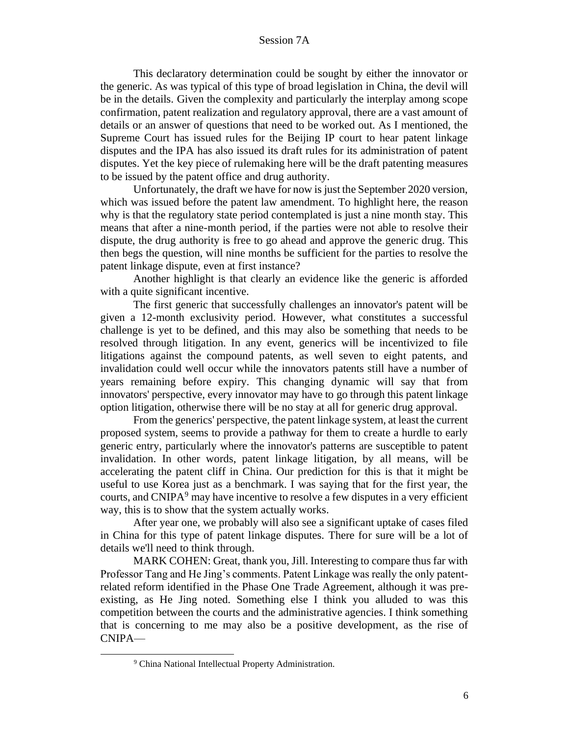This declaratory determination could be sought by either the innovator or the generic. As was typical of this type of broad legislation in China, the devil will be in the details. Given the complexity and particularly the interplay among scope confirmation, patent realization and regulatory approval, there are a vast amount of details or an answer of questions that need to be worked out. As I mentioned, the Supreme Court has issued rules for the Beijing IP court to hear patent linkage disputes and the IPA has also issued its draft rules for its administration of patent disputes. Yet the key piece of rulemaking here will be the draft patenting measures to be issued by the patent office and drug authority.

Unfortunately, the draft we have for now is just the September 2020 version, which was issued before the patent law amendment. To highlight here, the reason why is that the regulatory state period contemplated is just a nine month stay. This means that after a nine-month period, if the parties were not able to resolve their dispute, the drug authority is free to go ahead and approve the generic drug. This then begs the question, will nine months be sufficient for the parties to resolve the patent linkage dispute, even at first instance?

Another highlight is that clearly an evidence like the generic is afforded with a quite significant incentive.

The first generic that successfully challenges an innovator's patent will be given a 12-month exclusivity period. However, what constitutes a successful challenge is yet to be defined, and this may also be something that needs to be resolved through litigation. In any event, generics will be incentivized to file litigations against the compound patents, as well seven to eight patents, and invalidation could well occur while the innovators patents still have a number of years remaining before expiry. This changing dynamic will say that from innovators' perspective, every innovator may have to go through this patent linkage option litigation, otherwise there will be no stay at all for generic drug approval.

From the generics' perspective, the patent linkage system, at least the current proposed system, seems to provide a pathway for them to create a hurdle to early generic entry, particularly where the innovator's patterns are susceptible to patent invalidation. In other words, patent linkage litigation, by all means, will be accelerating the patent cliff in China. Our prediction for this is that it might be useful to use Korea just as a benchmark. I was saying that for the first year, the courts, and CNIPA<sup>9</sup> may have incentive to resolve a few disputes in a very efficient way, this is to show that the system actually works.

After year one, we probably will also see a significant uptake of cases filed in China for this type of patent linkage disputes. There for sure will be a lot of details we'll need to think through.

MARK COHEN: Great, thank you, Jill. Interesting to compare thus far with Professor Tang and He Jing's comments. Patent Linkage was really the only patentrelated reform identified in the Phase One Trade Agreement, although it was preexisting, as He Jing noted. Something else I think you alluded to was this competition between the courts and the administrative agencies. I think something that is concerning to me may also be a positive development, as the rise of CNIPA—

<sup>&</sup>lt;sup>9</sup> China National Intellectual Property Administration.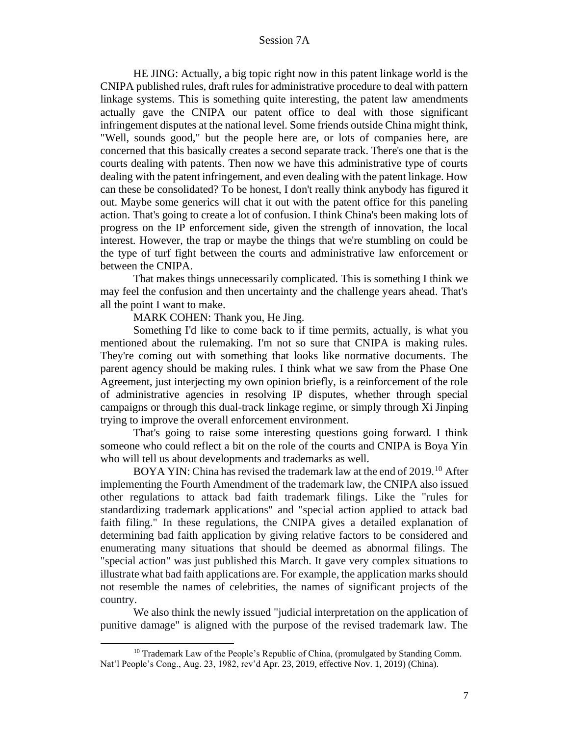HE JING: Actually, a big topic right now in this patent linkage world is the CNIPA published rules, draft rules for administrative procedure to deal with pattern linkage systems. This is something quite interesting, the patent law amendments actually gave the CNIPA our patent office to deal with those significant infringement disputes at the national level. Some friends outside China might think, "Well, sounds good," but the people here are, or lots of companies here, are concerned that this basically creates a second separate track. There's one that is the courts dealing with patents. Then now we have this administrative type of courts dealing with the patent infringement, and even dealing with the patent linkage. How can these be consolidated? To be honest, I don't really think anybody has figured it out. Maybe some generics will chat it out with the patent office for this paneling action. That's going to create a lot of confusion. I think China's been making lots of progress on the IP enforcement side, given the strength of innovation, the local interest. However, the trap or maybe the things that we're stumbling on could be the type of turf fight between the courts and administrative law enforcement or between the CNIPA.

That makes things unnecessarily complicated. This is something I think we may feel the confusion and then uncertainty and the challenge years ahead. That's all the point I want to make.

MARK COHEN: Thank you, He Jing.

Something I'd like to come back to if time permits, actually, is what you mentioned about the rulemaking. I'm not so sure that CNIPA is making rules. They're coming out with something that looks like normative documents. The parent agency should be making rules. I think what we saw from the Phase One Agreement, just interjecting my own opinion briefly, is a reinforcement of the role of administrative agencies in resolving IP disputes, whether through special campaigns or through this dual-track linkage regime, or simply through Xi Jinping trying to improve the overall enforcement environment.

That's going to raise some interesting questions going forward. I think someone who could reflect a bit on the role of the courts and CNIPA is Boya Yin who will tell us about developments and trademarks as well.

BOYA YIN: China has revised the trademark law at the end of 2019.<sup>10</sup> After implementing the Fourth Amendment of the trademark law, the CNIPA also issued other regulations to attack bad faith trademark filings. Like the "rules for standardizing trademark applications" and "special action applied to attack bad faith filing." In these regulations, the CNIPA gives a detailed explanation of determining bad faith application by giving relative factors to be considered and enumerating many situations that should be deemed as abnormal filings. The "special action" was just published this March. It gave very complex situations to illustrate what bad faith applications are. For example, the application marks should not resemble the names of celebrities, the names of significant projects of the country.

We also think the newly issued "judicial interpretation on the application of punitive damage" is aligned with the purpose of the revised trademark law. The

<sup>&</sup>lt;sup>10</sup> Trademark Law of the People's Republic of China, (promulgated by Standing Comm. Nat'l People's Cong., Aug. 23, 1982, rev'd Apr. 23, 2019, effective Nov. 1, 2019) (China).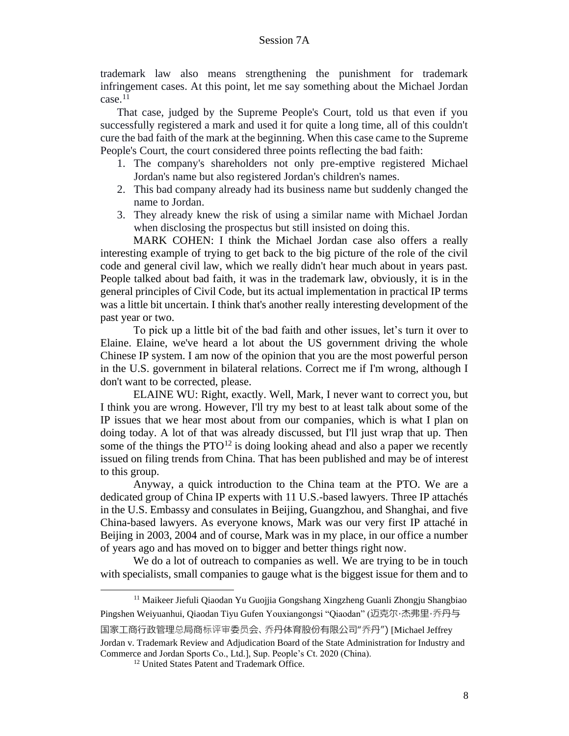trademark law also means strengthening the punishment for trademark infringement cases. At this point, let me say something about the Michael Jordan case.<sup>11</sup>

That case, judged by the Supreme People's Court, told us that even if you successfully registered a mark and used it for quite a long time, all of this couldn't cure the bad faith of the mark at the beginning. When this case came to the Supreme People's Court, the court considered three points reflecting the bad faith:

- 1. The company's shareholders not only pre-emptive registered Michael Jordan's name but also registered Jordan's children's names.
- 2. This bad company already had its business name but suddenly changed the name to Jordan.
- 3. They already knew the risk of using a similar name with Michael Jordan when disclosing the prospectus but still insisted on doing this.

MARK COHEN: I think the Michael Jordan case also offers a really interesting example of trying to get back to the big picture of the role of the civil code and general civil law, which we really didn't hear much about in years past. People talked about bad faith, it was in the trademark law, obviously, it is in the general principles of Civil Code, but its actual implementation in practical IP terms was a little bit uncertain. I think that's another really interesting development of the past year or two.

To pick up a little bit of the bad faith and other issues, let's turn it over to Elaine. Elaine, we've heard a lot about the US government driving the whole Chinese IP system. I am now of the opinion that you are the most powerful person in the U.S. government in bilateral relations. Correct me if I'm wrong, although I don't want to be corrected, please.

ELAINE WU: Right, exactly. Well, Mark, I never want to correct you, but I think you are wrong. However, I'll try my best to at least talk about some of the IP issues that we hear most about from our companies, which is what I plan on doing today. A lot of that was already discussed, but I'll just wrap that up. Then some of the things the  $PTO<sup>12</sup>$  is doing looking ahead and also a paper we recently issued on filing trends from China. That has been published and may be of interest to this group.

Anyway, a quick introduction to the China team at the PTO. We are a dedicated group of China IP experts with 11 U.S.-based lawyers. Three IP attachés in the U.S. Embassy and consulates in Beijing, Guangzhou, and Shanghai, and five China-based lawyers. As everyone knows, Mark was our very first IP attaché in Beijing in 2003, 2004 and of course, Mark was in my place, in our office a number of years ago and has moved on to bigger and better things right now.

We do a lot of outreach to companies as well. We are trying to be in touch with specialists, small companies to gauge what is the biggest issue for them and to

<sup>&</sup>lt;sup>11</sup> Maikeer Jiefuli Qiaodan Yu Guojjia Gongshang Xingzheng Guanli Zhongju Shangbiao Pingshen Weiyuanhui, Qiaodan Tiyu Gufen Youxiangongsi "Qiaodan" (迈克尔·杰弗里·乔丹与 国家工商行政管理总局商标评审委员会、乔丹体育股份有限公司"乔丹") [Michael Jeffrey

Jordan v. Trademark Review and Adjudication Board of the State Administration for Industry and Commerce and Jordan Sports Co., Ltd.], Sup. People's Ct. 2020 (China).

<sup>&</sup>lt;sup>12</sup> United States Patent and Trademark Office.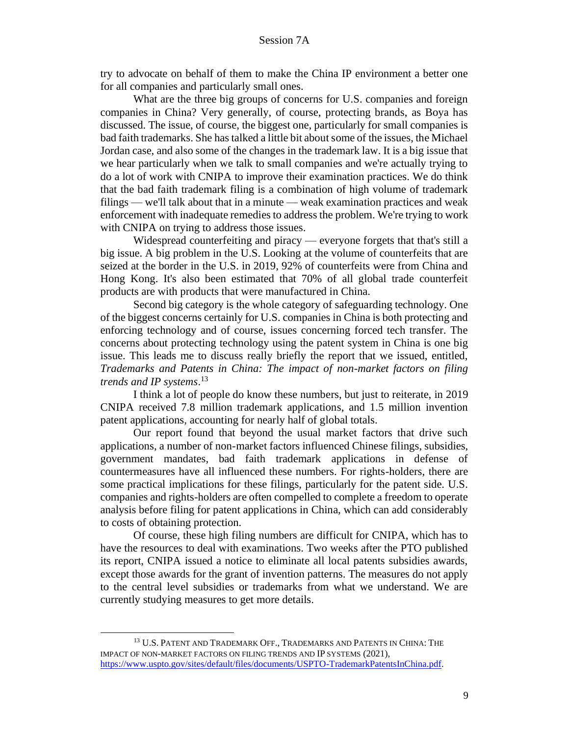try to advocate on behalf of them to make the China IP environment a better one for all companies and particularly small ones.

What are the three big groups of concerns for U.S. companies and foreign companies in China? Very generally, of course, protecting brands, as Boya has discussed. The issue, of course, the biggest one, particularly for small companies is bad faith trademarks. She has talked a little bit about some of the issues, the Michael Jordan case, and also some of the changes in the trademark law. It is a big issue that we hear particularly when we talk to small companies and we're actually trying to do a lot of work with CNIPA to improve their examination practices. We do think that the bad faith trademark filing is a combination of high volume of trademark filings — we'll talk about that in a minute — weak examination practices and weak enforcement with inadequate remedies to address the problem. We're trying to work with CNIPA on trying to address those issues.

Widespread counterfeiting and piracy — everyone forgets that that's still a big issue. A big problem in the U.S. Looking at the volume of counterfeits that are seized at the border in the U.S. in 2019, 92% of counterfeits were from China and Hong Kong. It's also been estimated that 70% of all global trade counterfeit products are with products that were manufactured in China.

Second big category is the whole category of safeguarding technology. One of the biggest concerns certainly for U.S. companies in China is both protecting and enforcing technology and of course, issues concerning forced tech transfer. The concerns about protecting technology using the patent system in China is one big issue. This leads me to discuss really briefly the report that we issued, entitled, *Trademarks and Patents in China: The impact of non-market factors on filing trends and IP systems*. 13

I think a lot of people do know these numbers, but just to reiterate, in 2019 CNIPA received 7.8 million trademark applications, and 1.5 million invention patent applications, accounting for nearly half of global totals.

Our report found that beyond the usual market factors that drive such applications, a number of non-market factors influenced Chinese filings, subsidies, government mandates, bad faith trademark applications in defense of countermeasures have all influenced these numbers. For rights-holders, there are some practical implications for these filings, particularly for the patent side. U.S. companies and rights-holders are often compelled to complete a freedom to operate analysis before filing for patent applications in China, which can add considerably to costs of obtaining protection.

Of course, these high filing numbers are difficult for CNIPA, which has to have the resources to deal with examinations. Two weeks after the PTO published its report, CNIPA issued a notice to eliminate all local patents subsidies awards, except those awards for the grant of invention patterns. The measures do not apply to the central level subsidies or trademarks from what we understand. We are currently studying measures to get more details.

<sup>&</sup>lt;sup>13</sup> U.S. PATENT AND TRADEMARK OFF., TRADEMARKS AND PATENTS IN CHINA: THE IMPACT OF NON-MARKET FACTORS ON FILING TRENDS AND IP SYSTEMS (2021), https://www.uspto.gov/sites/default/files/documents/USPTO-TrademarkPatentsInChina.pdf.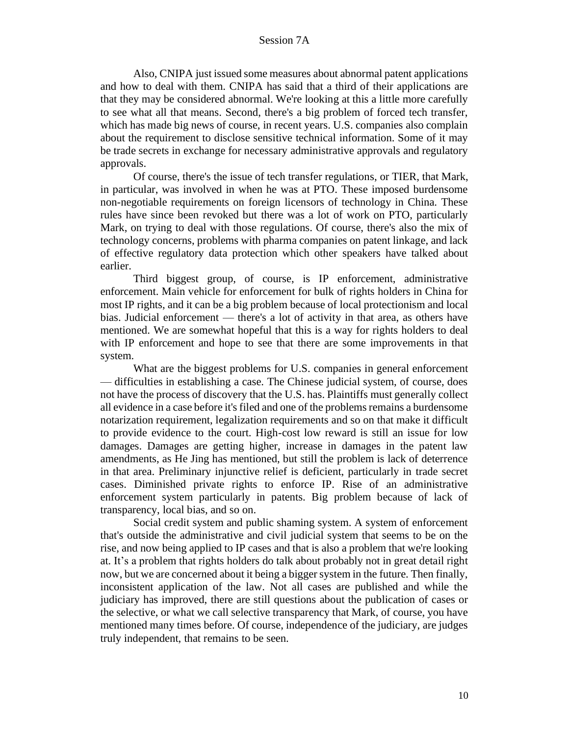Also, CNIPA just issued some measures about abnormal patent applications and how to deal with them. CNIPA has said that a third of their applications are that they may be considered abnormal. We're looking at this a little more carefully to see what all that means. Second, there's a big problem of forced tech transfer, which has made big news of course, in recent years. U.S. companies also complain about the requirement to disclose sensitive technical information. Some of it may be trade secrets in exchange for necessary administrative approvals and regulatory approvals.

Of course, there's the issue of tech transfer regulations, or TIER, that Mark, in particular, was involved in when he was at PTO. These imposed burdensome non-negotiable requirements on foreign licensors of technology in China. These rules have since been revoked but there was a lot of work on PTO, particularly Mark, on trying to deal with those regulations. Of course, there's also the mix of technology concerns, problems with pharma companies on patent linkage, and lack of effective regulatory data protection which other speakers have talked about earlier.

Third biggest group, of course, is IP enforcement, administrative enforcement. Main vehicle for enforcement for bulk of rights holders in China for most IP rights, and it can be a big problem because of local protectionism and local bias. Judicial enforcement — there's a lot of activity in that area, as others have mentioned. We are somewhat hopeful that this is a way for rights holders to deal with IP enforcement and hope to see that there are some improvements in that system.

What are the biggest problems for U.S. companies in general enforcement — difficulties in establishing a case. The Chinese judicial system, of course, does not have the process of discovery that the U.S. has. Plaintiffs must generally collect all evidence in a case before it's filed and one of the problems remains a burdensome notarization requirement, legalization requirements and so on that make it difficult to provide evidence to the court. High-cost low reward is still an issue for low damages. Damages are getting higher, increase in damages in the patent law amendments, as He Jing has mentioned, but still the problem is lack of deterrence in that area. Preliminary injunctive relief is deficient, particularly in trade secret cases. Diminished private rights to enforce IP. Rise of an administrative enforcement system particularly in patents. Big problem because of lack of transparency, local bias, and so on.

Social credit system and public shaming system. A system of enforcement that's outside the administrative and civil judicial system that seems to be on the rise, and now being applied to IP cases and that is also a problem that we're looking at. It's a problem that rights holders do talk about probably not in great detail right now, but we are concerned about it being a bigger system in the future. Then finally, inconsistent application of the law. Not all cases are published and while the judiciary has improved, there are still questions about the publication of cases or the selective, or what we call selective transparency that Mark, of course, you have mentioned many times before. Of course, independence of the judiciary, are judges truly independent, that remains to be seen.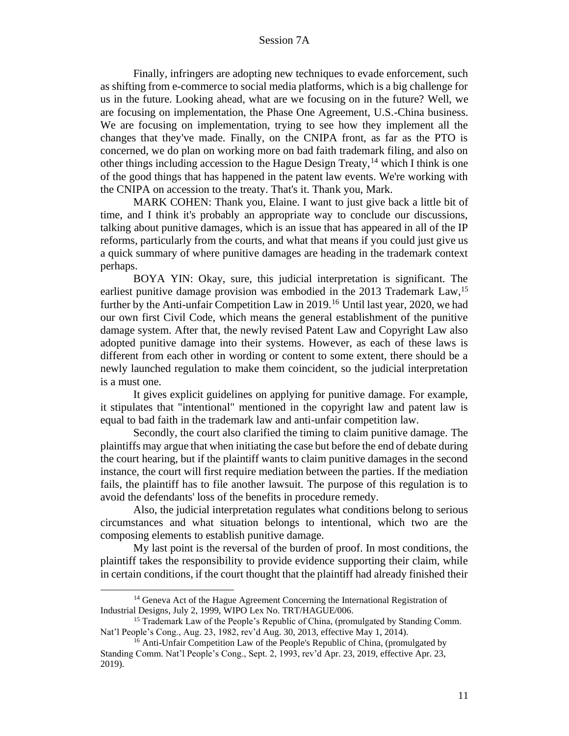Finally, infringers are adopting new techniques to evade enforcement, such as shifting from e-commerce to social media platforms, which is a big challenge for us in the future. Looking ahead, what are we focusing on in the future? Well, we are focusing on implementation, the Phase One Agreement, U.S.-China business. We are focusing on implementation, trying to see how they implement all the changes that they've made. Finally, on the CNIPA front, as far as the PTO is concerned, we do plan on working more on bad faith trademark filing, and also on other things including accession to the Hague Design Treaty,  $^{14}$  which I think is one of the good things that has happened in the patent law events. We're working with the CNIPA on accession to the treaty. That's it. Thank you, Mark.

MARK COHEN: Thank you, Elaine. I want to just give back a little bit of time, and I think it's probably an appropriate way to conclude our discussions, talking about punitive damages, which is an issue that has appeared in all of the IP reforms, particularly from the courts, and what that means if you could just give us a quick summary of where punitive damages are heading in the trademark context perhaps.

BOYA YIN: Okay, sure, this judicial interpretation is significant. The earliest punitive damage provision was embodied in the 2013 Trademark Law,<sup>15</sup> further by the Anti-unfair Competition Law in 2019.<sup>16</sup> Until last year, 2020, we had our own first Civil Code, which means the general establishment of the punitive damage system. After that, the newly revised Patent Law and Copyright Law also adopted punitive damage into their systems. However, as each of these laws is different from each other in wording or content to some extent, there should be a newly launched regulation to make them coincident, so the judicial interpretation is a must one.

It gives explicit guidelines on applying for punitive damage. For example, it stipulates that "intentional" mentioned in the copyright law and patent law is equal to bad faith in the trademark law and anti-unfair competition law.

Secondly, the court also clarified the timing to claim punitive damage. The plaintiffs may argue that when initiating the case but before the end of debate during the court hearing, but if the plaintiff wants to claim punitive damages in the second instance, the court will first require mediation between the parties. If the mediation fails, the plaintiff has to file another lawsuit. The purpose of this regulation is to avoid the defendants' loss of the benefits in procedure remedy.

Also, the judicial interpretation regulates what conditions belong to serious circumstances and what situation belongs to intentional, which two are the composing elements to establish punitive damage.

My last point is the reversal of the burden of proof. In most conditions, the plaintiff takes the responsibility to provide evidence supporting their claim, while in certain conditions, if the court thought that the plaintiff had already finished their

<sup>&</sup>lt;sup>14</sup> Geneva Act of the Hague Agreement Concerning the International Registration of Industrial Designs, July 2, 1999, WIPO Lex No. TRT/HAGUE/006.

<sup>&</sup>lt;sup>15</sup> Trademark Law of the People's Republic of China, (promulgated by Standing Comm. Nat'l People's Cong., Aug. 23, 1982, rev'd Aug. 30, 2013, effective May 1, 2014).

<sup>&</sup>lt;sup>16</sup> Anti-Unfair Competition Law of the People's Republic of China, (promulgated by Standing Comm. Nat'l People's Cong., Sept. 2, 1993, rev'd Apr. 23, 2019, effective Apr. 23, 2019).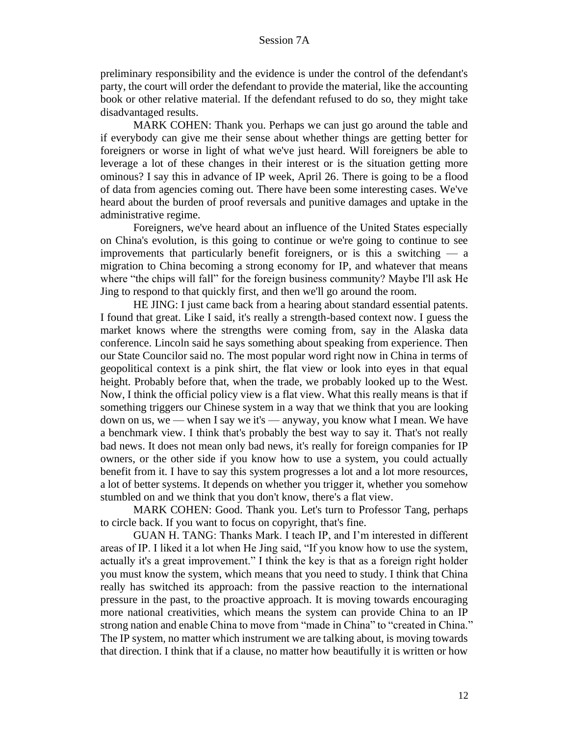preliminary responsibility and the evidence is under the control of the defendant's party, the court will order the defendant to provide the material, like the accounting book or other relative material. If the defendant refused to do so, they might take disadvantaged results.

MARK COHEN: Thank you. Perhaps we can just go around the table and if everybody can give me their sense about whether things are getting better for foreigners or worse in light of what we've just heard. Will foreigners be able to leverage a lot of these changes in their interest or is the situation getting more ominous? I say this in advance of IP week, April 26. There is going to be a flood of data from agencies coming out. There have been some interesting cases. We've heard about the burden of proof reversals and punitive damages and uptake in the administrative regime.

Foreigners, we've heard about an influence of the United States especially on China's evolution, is this going to continue or we're going to continue to see improvements that particularly benefit foreigners, or is this a switching  $\frac{1}{2}$  a migration to China becoming a strong economy for IP, and whatever that means where "the chips will fall" for the foreign business community? Maybe I'll ask He Jing to respond to that quickly first, and then we'll go around the room.

HE JING: I just came back from a hearing about standard essential patents. I found that great. Like I said, it's really a strength-based context now. I guess the market knows where the strengths were coming from, say in the Alaska data conference. Lincoln said he says something about speaking from experience. Then our State Councilor said no. The most popular word right now in China in terms of geopolitical context is a pink shirt, the flat view or look into eyes in that equal height. Probably before that, when the trade, we probably looked up to the West. Now, I think the official policy view is a flat view. What this really means is that if something triggers our Chinese system in a way that we think that you are looking down on us, we — when I say we it's — anyway, you know what I mean. We have a benchmark view. I think that's probably the best way to say it. That's not really bad news. It does not mean only bad news, it's really for foreign companies for IP owners, or the other side if you know how to use a system, you could actually benefit from it. I have to say this system progresses a lot and a lot more resources, a lot of better systems. It depends on whether you trigger it, whether you somehow stumbled on and we think that you don't know, there's a flat view.

MARK COHEN: Good. Thank you. Let's turn to Professor Tang, perhaps to circle back. If you want to focus on copyright, that's fine.

GUAN H. TANG: Thanks Mark. I teach IP, and I'm interested in different areas of IP. I liked it a lot when He Jing said, "If you know how to use the system, actually it's a great improvement." I think the key is that as a foreign right holder you must know the system, which means that you need to study. I think that China really has switched its approach: from the passive reaction to the international pressure in the past, to the proactive approach. It is moving towards encouraging more national creativities, which means the system can provide China to an IP strong nation and enable China to move from "made in China" to "created in China." The IP system, no matter which instrument we are talking about, is moving towards that direction. I think that if a clause, no matter how beautifully it is written or how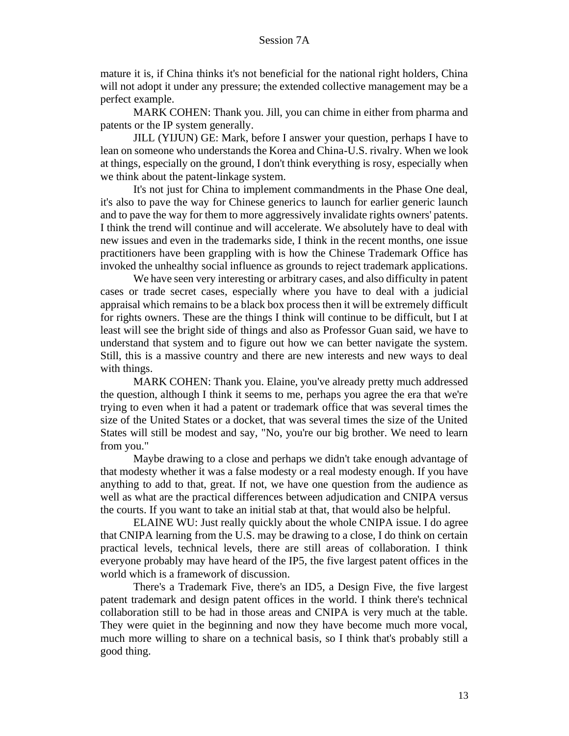mature it is, if China thinks it's not beneficial for the national right holders, China will not adopt it under any pressure; the extended collective management may be a perfect example.

MARK COHEN: Thank you. Jill, you can chime in either from pharma and patents or the IP system generally.

JILL (YIJUN) GE: Mark, before I answer your question, perhaps I have to lean on someone who understands the Korea and China-U.S. rivalry. When we look at things, especially on the ground, I don't think everything is rosy, especially when we think about the patent-linkage system.

It's not just for China to implement commandments in the Phase One deal, it's also to pave the way for Chinese generics to launch for earlier generic launch and to pave the way for them to more aggressively invalidate rights owners' patents. I think the trend will continue and will accelerate. We absolutely have to deal with new issues and even in the trademarks side, I think in the recent months, one issue practitioners have been grappling with is how the Chinese Trademark Office has invoked the unhealthy social influence as grounds to reject trademark applications.

We have seen very interesting or arbitrary cases, and also difficulty in patent cases or trade secret cases, especially where you have to deal with a judicial appraisal which remains to be a black box process then it will be extremely difficult for rights owners. These are the things I think will continue to be difficult, but I at least will see the bright side of things and also as Professor Guan said, we have to understand that system and to figure out how we can better navigate the system. Still, this is a massive country and there are new interests and new ways to deal with things.

MARK COHEN: Thank you. Elaine, you've already pretty much addressed the question, although I think it seems to me, perhaps you agree the era that we're trying to even when it had a patent or trademark office that was several times the size of the United States or a docket, that was several times the size of the United States will still be modest and say, "No, you're our big brother. We need to learn from you."

Maybe drawing to a close and perhaps we didn't take enough advantage of that modesty whether it was a false modesty or a real modesty enough. If you have anything to add to that, great. If not, we have one question from the audience as well as what are the practical differences between adjudication and CNIPA versus the courts. If you want to take an initial stab at that, that would also be helpful.

ELAINE WU: Just really quickly about the whole CNIPA issue. I do agree that CNIPA learning from the U.S. may be drawing to a close, I do think on certain practical levels, technical levels, there are still areas of collaboration. I think everyone probably may have heard of the IP5, the five largest patent offices in the world which is a framework of discussion.

There's a Trademark Five, there's an ID5, a Design Five, the five largest patent trademark and design patent offices in the world. I think there's technical collaboration still to be had in those areas and CNIPA is very much at the table. They were quiet in the beginning and now they have become much more vocal, much more willing to share on a technical basis, so I think that's probably still a good thing.